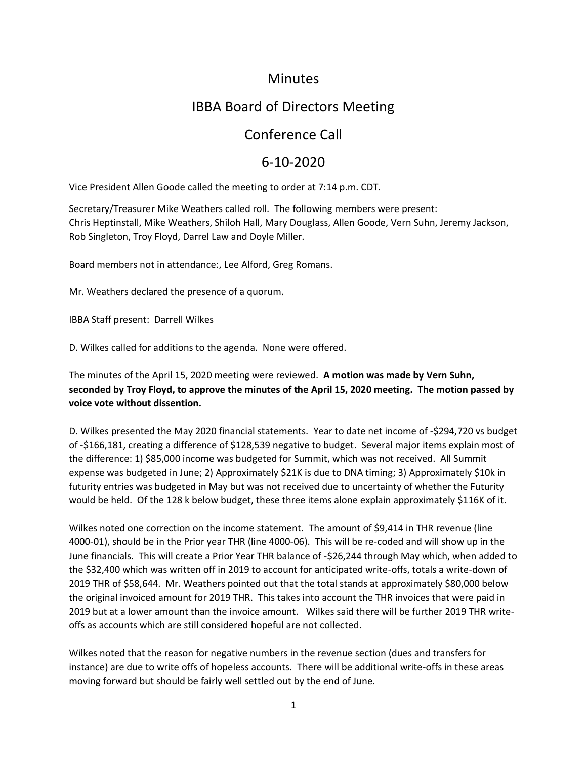### **Minutes**

# IBBA Board of Directors Meeting

## Conference Call

## 6-10-2020

Vice President Allen Goode called the meeting to order at 7:14 p.m. CDT.

Secretary/Treasurer Mike Weathers called roll. The following members were present: Chris Heptinstall, Mike Weathers, Shiloh Hall, Mary Douglass, Allen Goode, Vern Suhn, Jeremy Jackson, Rob Singleton, Troy Floyd, Darrel Law and Doyle Miller.

Board members not in attendance:, Lee Alford, Greg Romans.

Mr. Weathers declared the presence of a quorum.

IBBA Staff present: Darrell Wilkes

D. Wilkes called for additions to the agenda. None were offered.

The minutes of the April 15, 2020 meeting were reviewed. **A motion was made by Vern Suhn, seconded by Troy Floyd, to approve the minutes of the April 15, 2020 meeting. The motion passed by voice vote without dissention.** 

D. Wilkes presented the May 2020 financial statements. Year to date net income of -\$294,720 vs budget of -\$166,181, creating a difference of \$128,539 negative to budget. Several major items explain most of the difference: 1) \$85,000 income was budgeted for Summit, which was not received. All Summit expense was budgeted in June; 2) Approximately \$21K is due to DNA timing; 3) Approximately \$10k in futurity entries was budgeted in May but was not received due to uncertainty of whether the Futurity would be held. Of the 128 k below budget, these three items alone explain approximately \$116K of it.

Wilkes noted one correction on the income statement. The amount of \$9,414 in THR revenue (line 4000-01), should be in the Prior year THR (line 4000-06). This will be re-coded and will show up in the June financials. This will create a Prior Year THR balance of -\$26,244 through May which, when added to the \$32,400 which was written off in 2019 to account for anticipated write-offs, totals a write-down of 2019 THR of \$58,644. Mr. Weathers pointed out that the total stands at approximately \$80,000 below the original invoiced amount for 2019 THR. This takes into account the THR invoices that were paid in 2019 but at a lower amount than the invoice amount. Wilkes said there will be further 2019 THR writeoffs as accounts which are still considered hopeful are not collected.

Wilkes noted that the reason for negative numbers in the revenue section (dues and transfers for instance) are due to write offs of hopeless accounts. There will be additional write-offs in these areas moving forward but should be fairly well settled out by the end of June.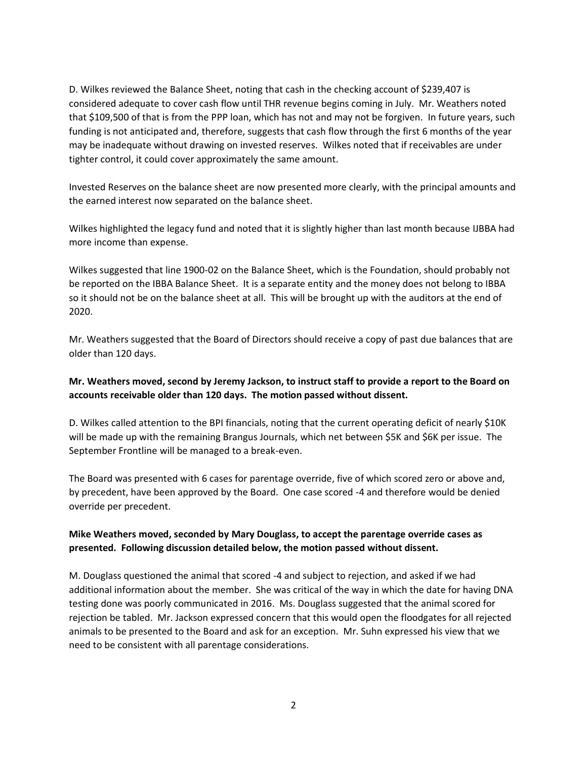D. Wilkes reviewed the Balance Sheet, noting that cash in the checking account of \$239,407 is considered adequate to cover cash flow until THR revenue begins coming in July. Mr. Weathers noted that \$109,500 of that is from the PPP loan, which has not and may not be forgiven. In future years, such funding is not anticipated and, therefore, suggests that cash flow through the first 6 months of the year may be inadequate without drawing on invested reserves. Wilkes noted that if receivables are under tighter control, it could cover approximately the same amount.

Invested Reserves on the balance sheet are now presented more clearly, with the principal amounts and the earned interest now separated on the balance sheet.

Wilkes highlighted the legacy fund and noted that it is slightly higher than last month because IJBBA had more income than expense.

Wilkes suggested that line 1900-02 on the Balance Sheet, which is the Foundation, should probably not be reported on the IBBA Balance Sheet. It is a separate entity and the money does not belong to IBBA so it should not be on the balance sheet at all. This will be brought up with the auditors at the end of 2020.

Mr. Weathers suggested that the Board of Directors should receive a copy of past due balances that are older than 120 days.

#### **Mr. Weathers moved, second by Jeremy Jackson, to instruct staff to provide a report to the Board on accounts receivable older than 120 days. The motion passed without dissent.**

D. Wilkes called attention to the BPI financials, noting that the current operating deficit of nearly \$10K will be made up with the remaining Brangus Journals, which net between \$5K and \$6K per issue. The September Frontline will be managed to a break-even.

The Board was presented with 6 cases for parentage override, five of which scored zero or above and, by precedent, have been approved by the Board. One case scored -4 and therefore would be denied override per precedent.

#### **Mike Weathers moved, seconded by Mary Douglass, to accept the parentage override cases as presented. Following discussion detailed below, the motion passed without dissent.**

M. Douglass questioned the animal that scored -4 and subject to rejection, and asked if we had additional information about the member. She was critical of the way in which the date for having DNA testing done was poorly communicated in 2016. Ms. Douglass suggested that the animal scored for rejection be tabled. Mr. Jackson expressed concern that this would open the floodgates for all rejected animals to be presented to the Board and ask for an exception. Mr. Suhn expressed his view that we need to be consistent with all parentage considerations.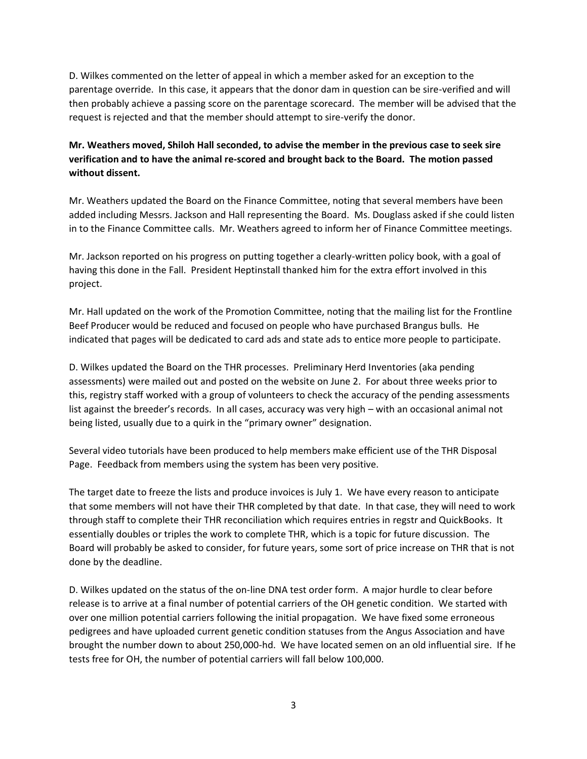D. Wilkes commented on the letter of appeal in which a member asked for an exception to the parentage override. In this case, it appears that the donor dam in question can be sire-verified and will then probably achieve a passing score on the parentage scorecard. The member will be advised that the request is rejected and that the member should attempt to sire-verify the donor.

#### **Mr. Weathers moved, Shiloh Hall seconded, to advise the member in the previous case to seek sire verification and to have the animal re-scored and brought back to the Board. The motion passed without dissent.**

Mr. Weathers updated the Board on the Finance Committee, noting that several members have been added including Messrs. Jackson and Hall representing the Board. Ms. Douglass asked if she could listen in to the Finance Committee calls. Mr. Weathers agreed to inform her of Finance Committee meetings.

Mr. Jackson reported on his progress on putting together a clearly-written policy book, with a goal of having this done in the Fall. President Heptinstall thanked him for the extra effort involved in this project.

Mr. Hall updated on the work of the Promotion Committee, noting that the mailing list for the Frontline Beef Producer would be reduced and focused on people who have purchased Brangus bulls. He indicated that pages will be dedicated to card ads and state ads to entice more people to participate.

D. Wilkes updated the Board on the THR processes. Preliminary Herd Inventories (aka pending assessments) were mailed out and posted on the website on June 2. For about three weeks prior to this, registry staff worked with a group of volunteers to check the accuracy of the pending assessments list against the breeder's records. In all cases, accuracy was very high – with an occasional animal not being listed, usually due to a quirk in the "primary owner" designation.

Several video tutorials have been produced to help members make efficient use of the THR Disposal Page. Feedback from members using the system has been very positive.

The target date to freeze the lists and produce invoices is July 1. We have every reason to anticipate that some members will not have their THR completed by that date. In that case, they will need to work through staff to complete their THR reconciliation which requires entries in regstr and QuickBooks. It essentially doubles or triples the work to complete THR, which is a topic for future discussion. The Board will probably be asked to consider, for future years, some sort of price increase on THR that is not done by the deadline.

D. Wilkes updated on the status of the on-line DNA test order form. A major hurdle to clear before release is to arrive at a final number of potential carriers of the OH genetic condition. We started with over one million potential carriers following the initial propagation. We have fixed some erroneous pedigrees and have uploaded current genetic condition statuses from the Angus Association and have brought the number down to about 250,000-hd. We have located semen on an old influential sire. If he tests free for OH, the number of potential carriers will fall below 100,000.